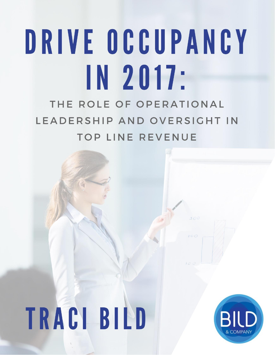# DRIVE OCCUPANCY IN 2017: THE ROLE OF OPERATIONAL

**TOP LINE REVENUE** 

LEADERSHIP AND OVERSIGHT IN

# TRACI BILD



300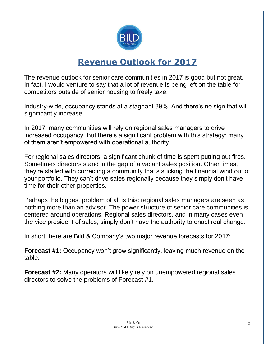

### **Revenue Outlook for 2017**

The revenue outlook for senior care communities in 2017 is good but not great. In fact, I would venture to say that a lot of revenue is being left on the table for competitors outside of senior housing to freely take.

Industry-wide, occupancy stands at a stagnant 89%. And there's no sign that will significantly increase.

In 2017, many communities will rely on regional sales managers to drive increased occupancy. But there's a significant problem with this strategy: many of them aren't empowered with operational authority.

For regional sales directors, a significant chunk of time is spent putting out fires. Sometimes directors stand in the gap of a vacant sales position. Other times, they're stalled with correcting a community that's sucking the financial wind out of your portfolio. They can't drive sales regionally because they simply don't have time for their other properties.

Perhaps the biggest problem of all is this: regional sales managers are seen as nothing more than an advisor. The power structure of senior care communities is centered around operations. Regional sales directors, and in many cases even the vice president of sales, simply don't have the authority to enact real change.

In short, here are Bild & Company's two major revenue forecasts for 2017:

**Forecast #1:** Occupancy won't grow significantly, leaving much revenue on the table.

**Forecast #2:** Many operators will likely rely on unempowered regional sales directors to solve the problems of Forecast #1.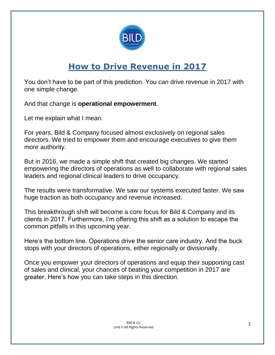

## **How to Drive Revenue in 2017**

You don't have to be part of this prediction. You *can* drive revenue in 2017 with one simple change.

And that change is **operational empowerment**.

Let me explain what I mean.

For years, Bild & Company focused almost exclusively on regional sales directors. We tried to empower them and encourage executives to give them more authority.

But in 2016, we made a simple shift that created big changes. We started empowering the directors of operations as well to collaborate with regional sales leaders and regional clinical leaders to drive occupancy.

The results were transformative. We saw our systems executed faster. We saw huge traction as both occupancy and revenue increased.

This breakthrough shift will become a core focus for Bild & Company and its clients in 2017. Furthermore, I'm offering this shift as a solution to escape the common pitfalls in this upcoming year.

Here's the bottom line. Operations drive the senior care industry. And the buck stops with your directors of operations, either regionally or divisionally.

Once you empower your directors of operations and equip their supporting cast of sales and clinical, your chances of beating your competition in 2017 are greater. Here's how you can take steps in this direction.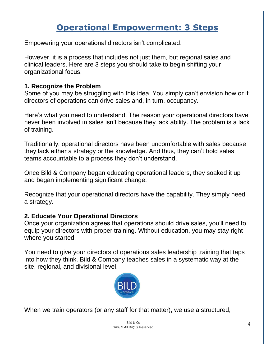## **Operational Empowerment: 3 Steps**

Empowering your operational directors isn't complicated.

However, it is a process that includes not just them, but regional sales and clinical leaders. Here are 3 steps you should take to begin shifting your organizational focus.

#### **1. Recognize the Problem**

Some of you may be struggling with this idea. You simply can't envision how or if directors of operations can drive sales and, in turn, occupancy.

Here's what you need to understand. The reason your operational directors have never been involved in sales isn't because they lack ability. The problem is a lack of training.

Traditionally, operational directors have been uncomfortable with sales because they lack either a strategy or the knowledge. And thus, they can't hold sales teams accountable to a process they don't understand.

Once Bild & Company began educating operational leaders, they soaked it up and began implementing significant change.

Recognize that your operational directors have the capability. They simply need a strategy.

#### **2. Educate Your Operational Directors**

Once your organization agrees that operations should drive sales, you'll need to equip your directors with proper training. Without education, you may stay right where you started.

You need to give your directors of operations sales leadership training that taps into how they think. Bild & Company teaches sales in a systematic way at the site, regional, and divisional level.



When we train operators (or any staff for that matter), we use a structured,

Bild & Co 2016 © All Rights Reserved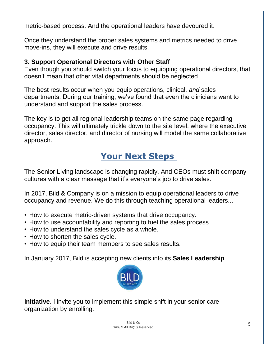metric-based process. And the operational leaders have devoured it.

Once they understand the proper sales systems and metrics needed to drive move-ins, they will execute and drive results.

#### **3. Support Operational Directors with Other Staff**

Even though you should switch your focus to equipping operational directors, that doesn't mean that other vital departments should be neglected.

The best results occur when you equip operations, clinical, *and* sales departments. During our training, we've found that even the clinicians want to understand and support the sales process.

The key is to get all regional leadership teams on the same page regarding occupancy. This will ultimately trickle down to the site level, where the executive director, sales director, and director of nursing will model the same collaborative approach.

## **Your Next Steps**

The Senior Living landscape is changing rapidly. And CEOs must shift company cultures with a clear message that it's everyone's job to drive sales.

In 2017, Bild & Company is on a mission to equip operational leaders to drive occupancy and revenue. We do this through teaching operational leaders...

- How to execute metric-driven systems that drive occupancy.
- How to use accountability and reporting to fuel the sales process.
- How to understand the sales cycle as a whole.
- How to shorten the sales cycle.
- How to equip their team members to see sales results.

In January 2017, Bild is accepting new clients into its **Sales Leadership** 



**Initiative**. I invite you to implement this simple shift in your senior care organization by enrolling.

> Bild & Co 2016 © All Rights Reserved